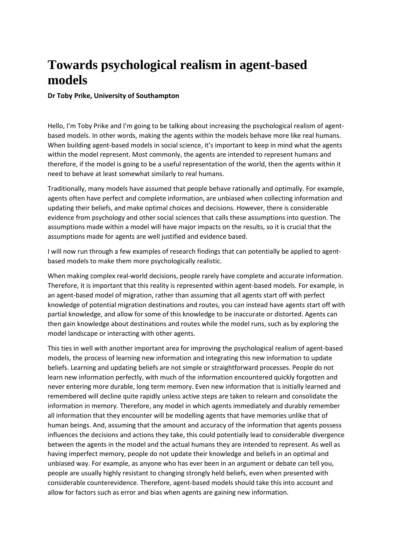## **Towards psychological realism in agent-based models**

**Dr Toby Prike, University of Southampton**

Hello, I'm Toby Prike and I'm going to be talking about increasing the psychological realism of agentbased models. In other words, making the agents within the models behave more like real humans. When building agent-based models in social science, it's important to keep in mind what the agents within the model represent. Most commonly, the agents are intended to represent humans and therefore, if the model is going to be a useful representation of the world, then the agents within it need to behave at least somewhat similarly to real humans.

Traditionally, many models have assumed that people behave rationally and optimally. For example, agents often have perfect and complete information, are unbiased when collecting information and updating their beliefs, and make optimal choices and decisions. However, there is considerable evidence from psychology and other social sciences that calls these assumptions into question. The assumptions made within a model will have major impacts on the results, so it is crucial that the assumptions made for agents are well justified and evidence based.

I will now run through a few examples of research findings that can potentially be applied to agentbased models to make them more psychologically realistic.

When making complex real-world decisions, people rarely have complete and accurate information. Therefore, it is important that this reality is represented within agent-based models. For example, in an agent-based model of migration, rather than assuming that all agents start off with perfect knowledge of potential migration destinations and routes, you can instead have agents start off with partial knowledge, and allow for some of this knowledge to be inaccurate or distorted. Agents can then gain knowledge about destinations and routes while the model runs, such as by exploring the model landscape or interacting with other agents.

This ties in well with another important area for improving the psychological realism of agent-based models, the process of learning new information and integrating this new information to update beliefs. Learning and updating beliefs are not simple or straightforward processes. People do not learn new information perfectly, with much of the information encountered quickly forgotten and never entering more durable, long term memory. Even new information that is initially learned and remembered will decline quite rapidly unless active steps are taken to relearn and consolidate the information in memory. Therefore, any model in which agents immediately and durably remember all information that they encounter will be modelling agents that have memories unlike that of human beings. And, assuming that the amount and accuracy of the information that agents possess influences the decisions and actions they take, this could potentially lead to considerable divergence between the agents in the model and the actual humans they are intended to represent. As well as having imperfect memory, people do not update their knowledge and beliefs in an optimal and unbiased way. For example, as anyone who has ever been in an argument or debate can tell you, people are usually highly resistant to changing strongly held beliefs, even when presented with considerable counterevidence. Therefore, agent-based models should take this into account and allow for factors such as error and bias when agents are gaining new information.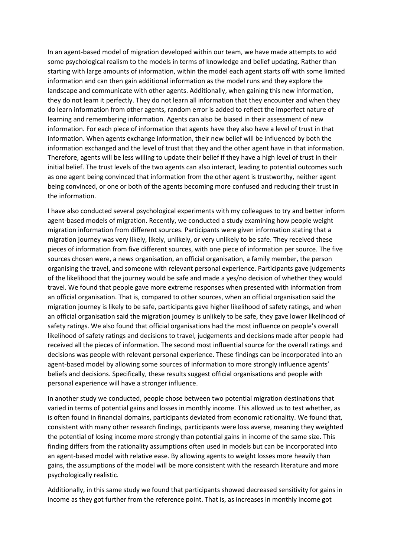In an agent-based model of migration developed within our team, we have made attempts to add some psychological realism to the models in terms of knowledge and belief updating. Rather than starting with large amounts of information, within the model each agent starts off with some limited information and can then gain additional information as the model runs and they explore the landscape and communicate with other agents. Additionally, when gaining this new information, they do not learn it perfectly. They do not learn all information that they encounter and when they do learn information from other agents, random error is added to reflect the imperfect nature of learning and remembering information. Agents can also be biased in their assessment of new information. For each piece of information that agents have they also have a level of trust in that information. When agents exchange information, their new belief will be influenced by both the information exchanged and the level of trust that they and the other agent have in that information. Therefore, agents will be less willing to update their belief if they have a high level of trust in their initial belief. The trust levels of the two agents can also interact, leading to potential outcomes such as one agent being convinced that information from the other agent is trustworthy, neither agent being convinced, or one or both of the agents becoming more confused and reducing their trust in the information.

I have also conducted several psychological experiments with my colleagues to try and better inform agent-based models of migration. Recently, we conducted a study examining how people weight migration information from different sources. Participants were given information stating that a migration journey was very likely, likely, unlikely, or very unlikely to be safe. They received these pieces of information from five different sources, with one piece of information per source. The five sources chosen were, a news organisation, an official organisation, a family member, the person organising the travel, and someone with relevant personal experience. Participants gave judgements of the likelihood that the journey would be safe and made a yes/no decision of whether they would travel. We found that people gave more extreme responses when presented with information from an official organisation. That is, compared to other sources, when an official organisation said the migration journey is likely to be safe, participants gave higher likelihood of safety ratings, and when an official organisation said the migration journey is unlikely to be safe, they gave lower likelihood of safety ratings. We also found that official organisations had the most influence on people's overall likelihood of safety ratings and decisions to travel, judgements and decisions made after people had received all the pieces of information. The second most influential source for the overall ratings and decisions was people with relevant personal experience. These findings can be incorporated into an agent-based model by allowing some sources of information to more strongly influence agents' beliefs and decisions. Specifically, these results suggest official organisations and people with personal experience will have a stronger influence.

In another study we conducted, people chose between two potential migration destinations that varied in terms of potential gains and losses in monthly income. This allowed us to test whether, as is often found in financial domains, participants deviated from economic rationality. We found that, consistent with many other research findings, participants were loss averse, meaning they weighted the potential of losing income more strongly than potential gains in income of the same size. This finding differs from the rationality assumptions often used in models but can be incorporated into an agent-based model with relative ease. By allowing agents to weight losses more heavily than gains, the assumptions of the model will be more consistent with the research literature and more psychologically realistic.

Additionally, in this same study we found that participants showed decreased sensitivity for gains in income as they got further from the reference point. That is, as increases in monthly income got